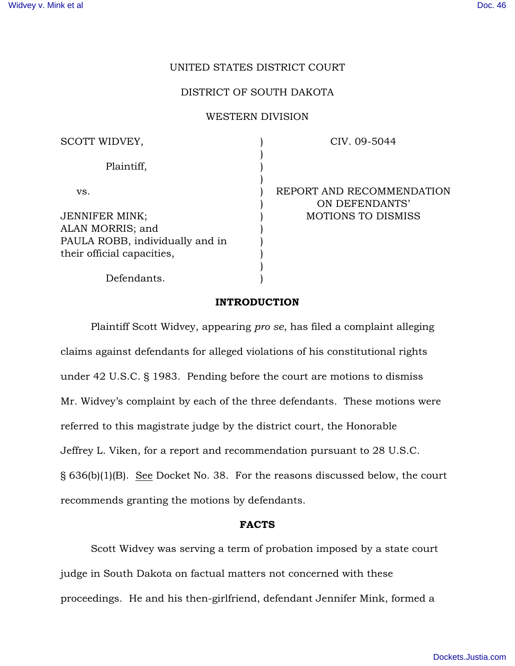## UNITED STATES DISTRICT COURT

### DISTRICT OF SOUTH DAKOTA

#### WESTERN DIVISION

) ) ) ) ) )  $\lambda$ ) ) ) ) )

SCOTT WIDVEY, Plaintiff, vs.

JENNIFER MINK; ALAN MORRIS; and PAULA ROBB, individually and in their official capacities,

CIV. 09-5044

REPORT AND RECOMMENDATION ON DEFENDANTS' MOTIONS TO DISMISS

# Defendants.

#### INTRODUCTION

Plaintiff Scott Widvey, appearing *pro se*, has filed a complaint alleging claims against defendants for alleged violations of his constitutional rights under 42 U.S.C. § 1983. Pending before the court are motions to dismiss Mr. Widvey's complaint by each of the three defendants. These motions were referred to this magistrate judge by the district court, the Honorable Jeffrey L. Viken, for a report and recommendation pursuant to 28 U.S.C. § 636(b)(1)(B). See Docket No. 38. For the reasons discussed below, the court recommends granting the motions by defendants.

#### FACTS

Scott Widvey was serving a term of probation imposed by a state court judge in South Dakota on factual matters not concerned with these proceedings. He and his then-girlfriend, defendant Jennifer Mink, formed a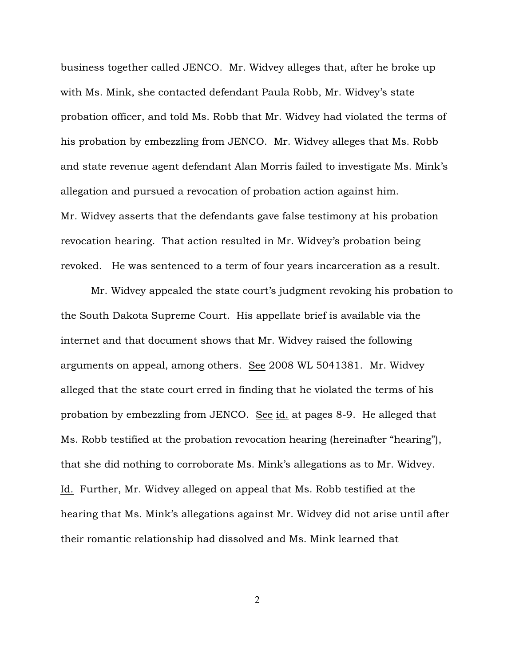business together called JENCO. Mr. Widvey alleges that, after he broke up with Ms. Mink, she contacted defendant Paula Robb, Mr. Widvey's state probation officer, and told Ms. Robb that Mr. Widvey had violated the terms of his probation by embezzling from JENCO. Mr. Widvey alleges that Ms. Robb and state revenue agent defendant Alan Morris failed to investigate Ms. Mink's allegation and pursued a revocation of probation action against him. Mr. Widvey asserts that the defendants gave false testimony at his probation revocation hearing. That action resulted in Mr. Widvey's probation being revoked. He was sentenced to a term of four years incarceration as a result.

Mr. Widvey appealed the state court's judgment revoking his probation to the South Dakota Supreme Court. His appellate brief is available via the internet and that document shows that Mr. Widvey raised the following arguments on appeal, among others. See 2008 WL 5041381. Mr. Widvey alleged that the state court erred in finding that he violated the terms of his probation by embezzling from JENCO. See id. at pages 8-9. He alleged that Ms. Robb testified at the probation revocation hearing (hereinafter "hearing"), that she did nothing to corroborate Ms. Mink's allegations as to Mr. Widvey. Id. Further, Mr. Widvey alleged on appeal that Ms. Robb testified at the hearing that Ms. Mink's allegations against Mr. Widvey did not arise until after their romantic relationship had dissolved and Ms. Mink learned that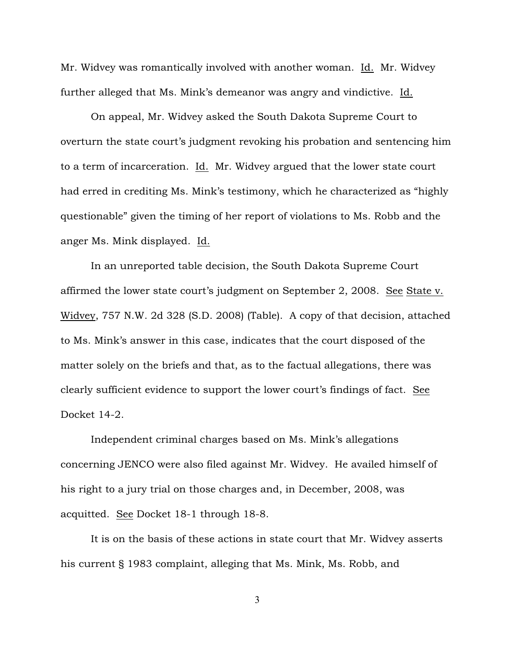Mr. Widvey was romantically involved with another woman. Id. Mr. Widvey further alleged that Ms. Mink's demeanor was angry and vindictive. Id.

On appeal, Mr. Widvey asked the South Dakota Supreme Court to overturn the state court's judgment revoking his probation and sentencing him to a term of incarceration. Id. Mr. Widvey argued that the lower state court had erred in crediting Ms. Mink's testimony, which he characterized as "highly questionable" given the timing of her report of violations to Ms. Robb and the anger Ms. Mink displayed. Id.

In an unreported table decision, the South Dakota Supreme Court affirmed the lower state court's judgment on September 2, 2008. See State v. Widvey, 757 N.W. 2d 328 (S.D. 2008) (Table). A copy of that decision, attached to Ms. Mink's answer in this case, indicates that the court disposed of the matter solely on the briefs and that, as to the factual allegations, there was clearly sufficient evidence to support the lower court's findings of fact. See Docket 14-2.

Independent criminal charges based on Ms. Mink's allegations concerning JENCO were also filed against Mr. Widvey. He availed himself of his right to a jury trial on those charges and, in December, 2008, was acquitted. See Docket 18-1 through 18-8.

It is on the basis of these actions in state court that Mr. Widvey asserts his current § 1983 complaint, alleging that Ms. Mink, Ms. Robb, and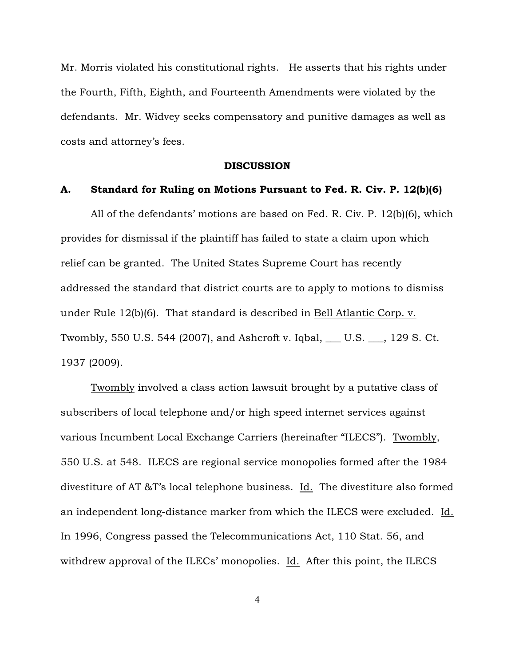Mr. Morris violated his constitutional rights. He asserts that his rights under the Fourth, Fifth, Eighth, and Fourteenth Amendments were violated by the defendants. Mr. Widvey seeks compensatory and punitive damages as well as costs and attorney's fees.

#### **DISCUSSION**

#### A. Standard for Ruling on Motions Pursuant to Fed. R. Civ. P. 12(b)(6)

All of the defendants' motions are based on Fed. R. Civ. P. 12(b)(6), which provides for dismissal if the plaintiff has failed to state a claim upon which relief can be granted. The United States Supreme Court has recently addressed the standard that district courts are to apply to motions to dismiss under Rule 12(b)(6). That standard is described in Bell Atlantic Corp. v. Twombly, 550 U.S. 544 (2007), and Ashcroft v. Iqbal, \_\_\_ U.S. \_\_\_, 129 S. Ct. 1937 (2009).

Twombly involved a class action lawsuit brought by a putative class of subscribers of local telephone and/or high speed internet services against various Incumbent Local Exchange Carriers (hereinafter "ILECS"). Twombly, 550 U.S. at 548. ILECS are regional service monopolies formed after the 1984 divestiture of AT &T's local telephone business. Id. The divestiture also formed an independent long-distance marker from which the ILECS were excluded. Id. In 1996, Congress passed the Telecommunications Act, 110 Stat. 56, and withdrew approval of the ILECs' monopolies. Id. After this point, the ILECS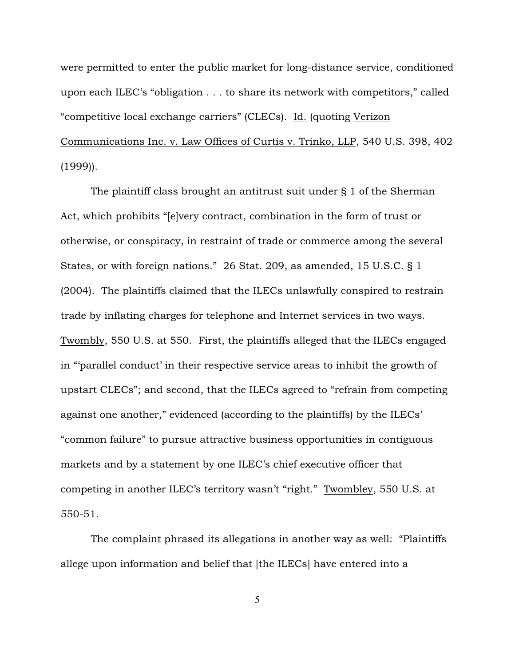were permitted to enter the public market for long-distance service, conditioned upon each ILEC's "obligation . . . to share its network with competitors," called "competitive local exchange carriers" (CLECs). Id. (quoting Verizon Communications Inc. v. Law Offices of Curtis v. Trinko, LLP, 540 U.S. 398, 402 (1999)).

The plaintiff class brought an antitrust suit under § 1 of the Sherman Act, which prohibits "[e]very contract, combination in the form of trust or otherwise, or conspiracy, in restraint of trade or commerce among the several States, or with foreign nations." 26 Stat. 209, as amended, 15 U.S.C. § 1 (2004). The plaintiffs claimed that the ILECs unlawfully conspired to restrain trade by inflating charges for telephone and Internet services in two ways. Twombly, 550 U.S. at 550. First, the plaintiffs alleged that the ILECs engaged in "'parallel conduct' in their respective service areas to inhibit the growth of upstart CLECs"; and second, that the ILECs agreed to "refrain from competing against one another," evidenced (according to the plaintiffs) by the ILECs' "common failure" to pursue attractive business opportunities in contiguous markets and by a statement by one ILEC's chief executive officer that competing in another ILEC's territory wasn't "right." Twombley, 550 U.S. at 550-51.

The complaint phrased its allegations in another way as well: "Plaintiffs allege upon information and belief that [the ILECs] have entered into a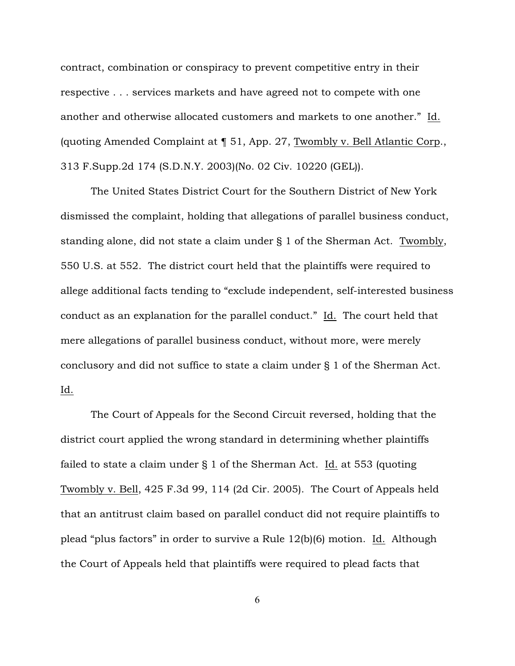contract, combination or conspiracy to prevent competitive entry in their respective . . . services markets and have agreed not to compete with one another and otherwise allocated customers and markets to one another." Id. (quoting Amended Complaint at ¶ 51, App. 27, Twombly v. Bell Atlantic Corp., 313 F.Supp.2d 174 (S.D.N.Y. 2003)(No. 02 Civ. 10220 (GEL)).

The United States District Court for the Southern District of New York dismissed the complaint, holding that allegations of parallel business conduct, standing alone, did not state a claim under § 1 of the Sherman Act. Twombly, 550 U.S. at 552. The district court held that the plaintiffs were required to allege additional facts tending to "exclude independent, self-interested business conduct as an explanation for the parallel conduct." Id. The court held that mere allegations of parallel business conduct, without more, were merely conclusory and did not suffice to state a claim under § 1 of the Sherman Act. Id.

The Court of Appeals for the Second Circuit reversed, holding that the district court applied the wrong standard in determining whether plaintiffs failed to state a claim under § 1 of the Sherman Act. Id. at 553 (quoting Twombly v. Bell, 425 F.3d 99, 114 (2d Cir. 2005). The Court of Appeals held that an antitrust claim based on parallel conduct did not require plaintiffs to plead "plus factors" in order to survive a Rule 12(b)(6) motion. Id. Although the Court of Appeals held that plaintiffs were required to plead facts that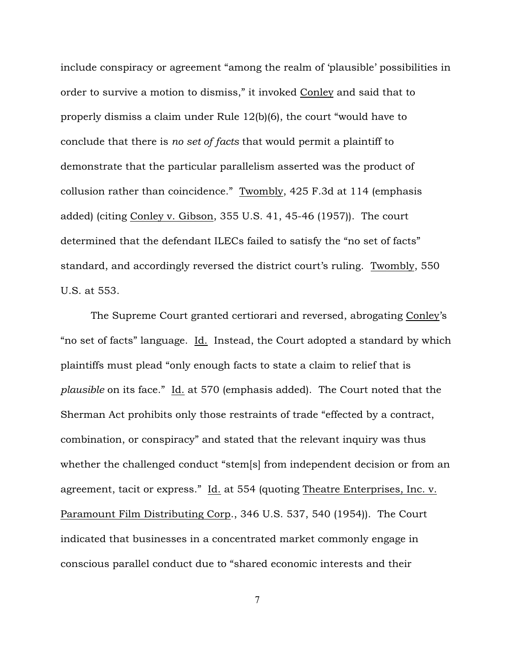include conspiracy or agreement "among the realm of 'plausible' possibilities in order to survive a motion to dismiss," it invoked Conley and said that to properly dismiss a claim under Rule 12(b)(6), the court "would have to conclude that there is *no set of facts* that would permit a plaintiff to demonstrate that the particular parallelism asserted was the product of collusion rather than coincidence." Twombly, 425 F.3d at 114 (emphasis added) (citing Conley v. Gibson, 355 U.S. 41, 45-46 (1957)). The court determined that the defendant ILECs failed to satisfy the "no set of facts" standard, and accordingly reversed the district court's ruling. Twombly, 550 U.S. at 553.

The Supreme Court granted certiorari and reversed, abrogating Conley's "no set of facts" language. Id. Instead, the Court adopted a standard by which plaintiffs must plead "only enough facts to state a claim to relief that is *plausible* on its face." Id. at 570 (emphasis added). The Court noted that the Sherman Act prohibits only those restraints of trade "effected by a contract, combination, or conspiracy" and stated that the relevant inquiry was thus whether the challenged conduct "stem[s] from independent decision or from an agreement, tacit or express." Id. at 554 (quoting Theatre Enterprises, Inc. v. Paramount Film Distributing Corp., 346 U.S. 537, 540 (1954)). The Court indicated that businesses in a concentrated market commonly engage in conscious parallel conduct due to "shared economic interests and their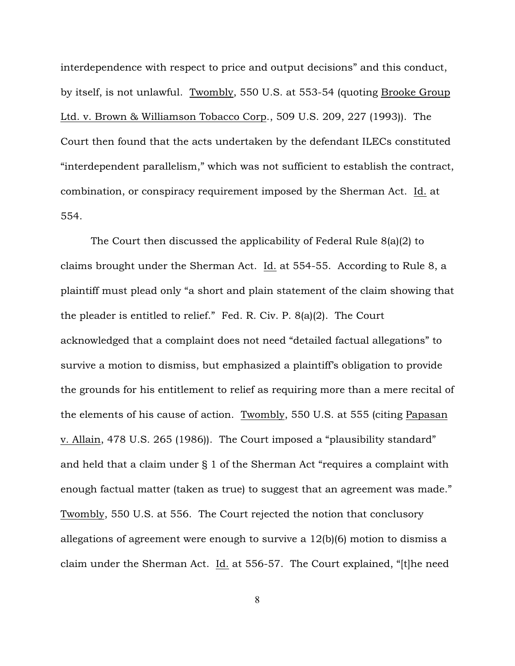interdependence with respect to price and output decisions" and this conduct, by itself, is not unlawful. Twombly, 550 U.S. at 553-54 (quoting Brooke Group Ltd. v. Brown & Williamson Tobacco Corp., 509 U.S. 209, 227 (1993)). The Court then found that the acts undertaken by the defendant ILECs constituted "interdependent parallelism," which was not sufficient to establish the contract, combination, or conspiracy requirement imposed by the Sherman Act. Id. at 554.

The Court then discussed the applicability of Federal Rule 8(a)(2) to claims brought under the Sherman Act. Id. at 554-55. According to Rule 8, a plaintiff must plead only "a short and plain statement of the claim showing that the pleader is entitled to relief." Fed. R. Civ. P. 8(a)(2). The Court acknowledged that a complaint does not need "detailed factual allegations" to survive a motion to dismiss, but emphasized a plaintiff's obligation to provide the grounds for his entitlement to relief as requiring more than a mere recital of the elements of his cause of action. Twombly, 550 U.S. at 555 (citing Papasan v. Allain, 478 U.S. 265 (1986)). The Court imposed a "plausibility standard" and held that a claim under § 1 of the Sherman Act "requires a complaint with enough factual matter (taken as true) to suggest that an agreement was made." Twombly, 550 U.S. at 556. The Court rejected the notion that conclusory allegations of agreement were enough to survive a 12(b)(6) motion to dismiss a claim under the Sherman Act. Id. at 556-57. The Court explained, "[t]he need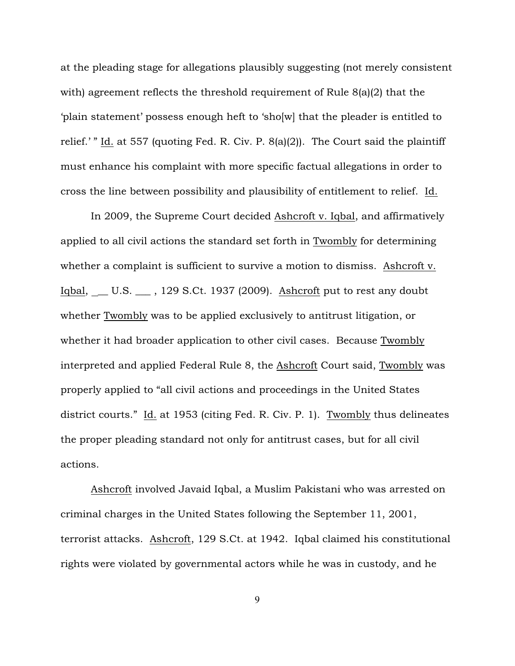at the pleading stage for allegations plausibly suggesting (not merely consistent with) agreement reflects the threshold requirement of Rule 8(a)(2) that the 'plain statement' possess enough heft to 'sho[w] that the pleader is entitled to relief.' " Id. at 557 (quoting Fed. R. Civ. P. 8(a)(2)). The Court said the plaintiff must enhance his complaint with more specific factual allegations in order to cross the line between possibility and plausibility of entitlement to relief. Id.

In 2009, the Supreme Court decided Ashcroft v. Iqbal, and affirmatively applied to all civil actions the standard set forth in Twombly for determining whether a complaint is sufficient to survive a motion to dismiss. Ashcroft v. Iqbal, \_ U.S. \_ , 129 S.Ct. 1937 (2009). Ashcroft put to rest any doubt whether Twombly was to be applied exclusively to antitrust litigation, or whether it had broader application to other civil cases. Because Twombly interpreted and applied Federal Rule 8, the Ashcroft Court said, Twombly was properly applied to "all civil actions and proceedings in the United States district courts." Id. at 1953 (citing Fed. R. Civ. P. 1). Twombly thus delineates the proper pleading standard not only for antitrust cases, but for all civil actions.

Ashcroft involved Javaid Iqbal, a Muslim Pakistani who was arrested on criminal charges in the United States following the September 11, 2001, terrorist attacks. Ashcroft, 129 S.Ct. at 1942. Iqbal claimed his constitutional rights were violated by governmental actors while he was in custody, and he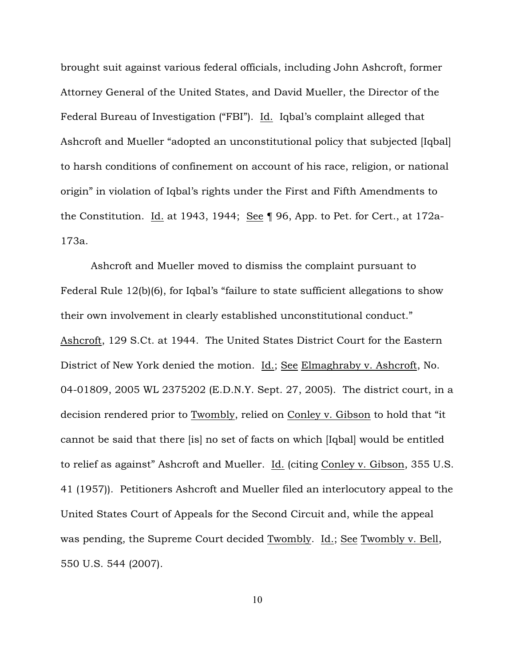brought suit against various federal officials, including John Ashcroft, former Attorney General of the United States, and David Mueller, the Director of the Federal Bureau of Investigation ("FBI"). Id. Iqbal's complaint alleged that Ashcroft and Mueller "adopted an unconstitutional policy that subjected [Iqbal] to harsh conditions of confinement on account of his race, religion, or national origin" in violation of Iqbal's rights under the First and Fifth Amendments to the Constitution. Id. at 1943, 1944; See ¶ 96, App. to Pet. for Cert., at 172a-173a.

Ashcroft and Mueller moved to dismiss the complaint pursuant to Federal Rule 12(b)(6), for Iqbal's "failure to state sufficient allegations to show their own involvement in clearly established unconstitutional conduct." Ashcroft, 129 S.Ct. at 1944. The United States District Court for the Eastern District of New York denied the motion. Id.; See Elmaghraby v. Ashcroft, No. 04-01809, 2005 WL 2375202 (E.D.N.Y. Sept. 27, 2005). The district court, in a decision rendered prior to Twombly, relied on Conley v. Gibson to hold that "it cannot be said that there [is] no set of facts on which [Iqbal] would be entitled to relief as against" Ashcroft and Mueller. Id. (citing Conley v. Gibson, 355 U.S. 41 (1957)). Petitioners Ashcroft and Mueller filed an interlocutory appeal to the United States Court of Appeals for the Second Circuit and, while the appeal was pending, the Supreme Court decided Twombly. Id.; See Twombly v. Bell, 550 U.S. 544 (2007).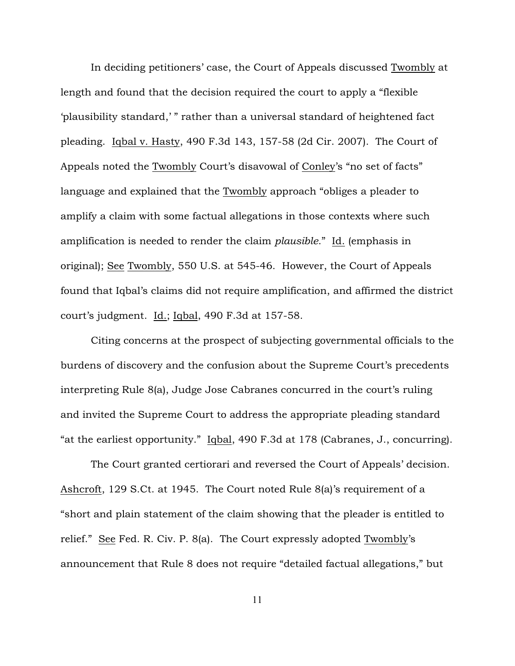In deciding petitioners' case, the Court of Appeals discussed Twombly at length and found that the decision required the court to apply a "flexible 'plausibility standard,' " rather than a universal standard of heightened fact pleading. Iqbal v. Hasty, 490 F.3d 143, 157-58 (2d Cir. 2007). The Court of Appeals noted the Twombly Court's disavowal of Conley's "no set of facts" language and explained that the Twombly approach "obliges a pleader to amplify a claim with some factual allegations in those contexts where such amplification is needed to render the claim *plausible*." Id. (emphasis in original); See Twombly, 550 U.S. at 545-46. However, the Court of Appeals found that Iqbal's claims did not require amplification, and affirmed the district court's judgment. Id.; Iqbal, 490 F.3d at 157-58.

Citing concerns at the prospect of subjecting governmental officials to the burdens of discovery and the confusion about the Supreme Court's precedents interpreting Rule 8(a), Judge Jose Cabranes concurred in the court's ruling and invited the Supreme Court to address the appropriate pleading standard "at the earliest opportunity." Iqbal, 490 F.3d at 178 (Cabranes, J., concurring).

The Court granted certiorari and reversed the Court of Appeals' decision. Ashcroft, 129 S.Ct. at 1945. The Court noted Rule 8(a)'s requirement of a "short and plain statement of the claim showing that the pleader is entitled to relief." See Fed. R. Civ. P. 8(a). The Court expressly adopted Twombly's announcement that Rule 8 does not require "detailed factual allegations," but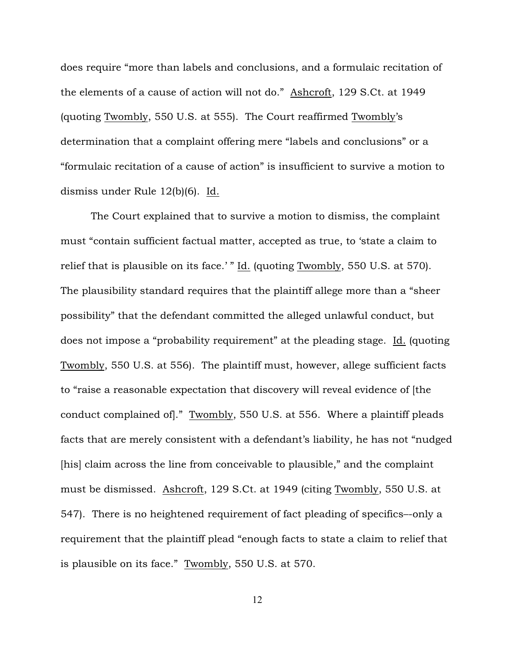does require "more than labels and conclusions, and a formulaic recitation of the elements of a cause of action will not do." Ashcroft, 129 S.Ct. at 1949 (quoting Twombly, 550 U.S. at 555). The Court reaffirmed Twombly's determination that a complaint offering mere "labels and conclusions" or a "formulaic recitation of a cause of action" is insufficient to survive a motion to dismiss under Rule 12(b)(6). Id.

The Court explained that to survive a motion to dismiss, the complaint must "contain sufficient factual matter, accepted as true, to 'state a claim to relief that is plausible on its face.' " Id. (quoting Twombly, 550 U.S. at 570). The plausibility standard requires that the plaintiff allege more than a "sheer possibility" that the defendant committed the alleged unlawful conduct, but does not impose a "probability requirement" at the pleading stage. Id. (quoting Twombly, 550 U.S. at 556). The plaintiff must, however, allege sufficient facts to "raise a reasonable expectation that discovery will reveal evidence of [the conduct complained of]." Twombly, 550 U.S. at 556. Where a plaintiff pleads facts that are merely consistent with a defendant's liability, he has not "nudged [his] claim across the line from conceivable to plausible," and the complaint must be dismissed. Ashcroft, 129 S.Ct. at 1949 (citing Twombly, 550 U.S. at 547). There is no heightened requirement of fact pleading of specifics–-only a requirement that the plaintiff plead "enough facts to state a claim to relief that is plausible on its face." Twombly, 550 U.S. at 570.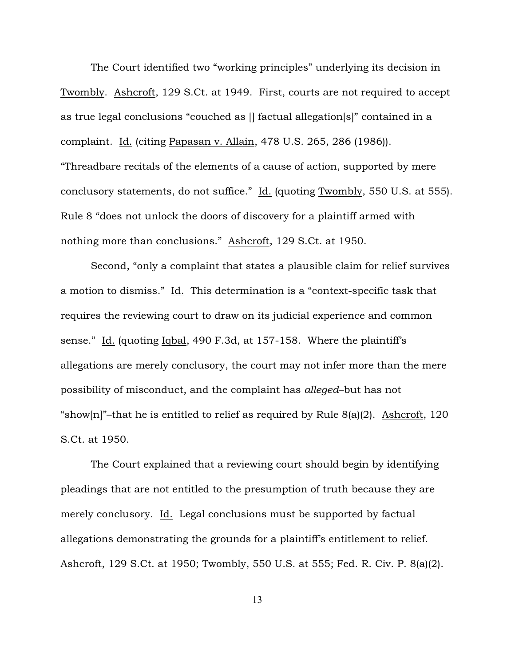The Court identified two "working principles" underlying its decision in Twombly. Ashcroft, 129 S.Ct. at 1949. First, courts are not required to accept as true legal conclusions "couched as [] factual allegation[s]" contained in a complaint. Id. (citing Papasan v. Allain, 478 U.S. 265, 286 (1986)). "Threadbare recitals of the elements of a cause of action, supported by mere conclusory statements, do not suffice." Id. (quoting Twombly, 550 U.S. at 555). Rule 8 "does not unlock the doors of discovery for a plaintiff armed with nothing more than conclusions." Ashcroft, 129 S.Ct. at 1950.

Second, "only a complaint that states a plausible claim for relief survives a motion to dismiss." Id. This determination is a "context-specific task that requires the reviewing court to draw on its judicial experience and common sense." Id. (quoting Iqbal, 490 F.3d, at 157-158. Where the plaintiff's allegations are merely conclusory, the court may not infer more than the mere possibility of misconduct, and the complaint has *alleged*–but has not "show[n]"-that he is entitled to relief as required by Rule  $8(a)(2)$ . Ashcroft, 120 S.Ct. at 1950.

The Court explained that a reviewing court should begin by identifying pleadings that are not entitled to the presumption of truth because they are merely conclusory. Id. Legal conclusions must be supported by factual allegations demonstrating the grounds for a plaintiff's entitlement to relief. Ashcroft, 129 S.Ct. at 1950; Twombly, 550 U.S. at 555; Fed. R. Civ. P. 8(a)(2).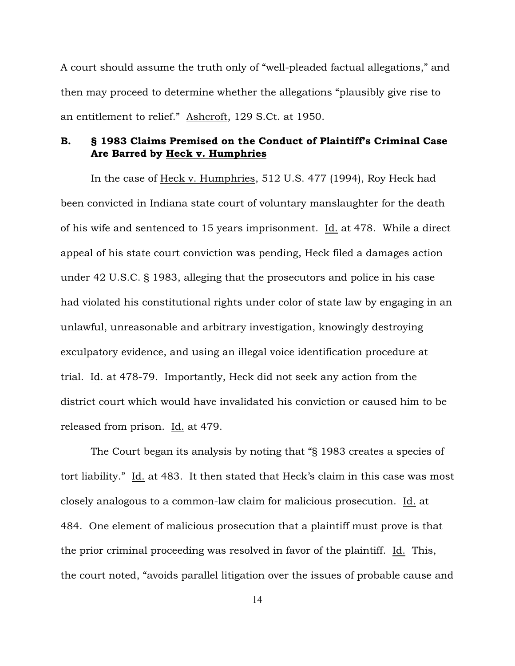A court should assume the truth only of "well-pleaded factual allegations," and then may proceed to determine whether the allegations "plausibly give rise to an entitlement to relief." Ashcroft, 129 S.Ct. at 1950.

## B. § 1983 Claims Premised on the Conduct of Plaintiff's Criminal Case Are Barred by Heck v. Humphries

In the case of Heck v. Humphries, 512 U.S. 477 (1994), Roy Heck had been convicted in Indiana state court of voluntary manslaughter for the death of his wife and sentenced to 15 years imprisonment. Id. at 478. While a direct appeal of his state court conviction was pending, Heck filed a damages action under 42 U.S.C. § 1983, alleging that the prosecutors and police in his case had violated his constitutional rights under color of state law by engaging in an unlawful, unreasonable and arbitrary investigation, knowingly destroying exculpatory evidence, and using an illegal voice identification procedure at trial. Id. at 478-79. Importantly, Heck did not seek any action from the district court which would have invalidated his conviction or caused him to be released from prison. Id. at 479.

The Court began its analysis by noting that "§ 1983 creates a species of tort liability." Id. at 483. It then stated that Heck's claim in this case was most closely analogous to a common-law claim for malicious prosecution. Id. at 484. One element of malicious prosecution that a plaintiff must prove is that the prior criminal proceeding was resolved in favor of the plaintiff. Id. This, the court noted, "avoids parallel litigation over the issues of probable cause and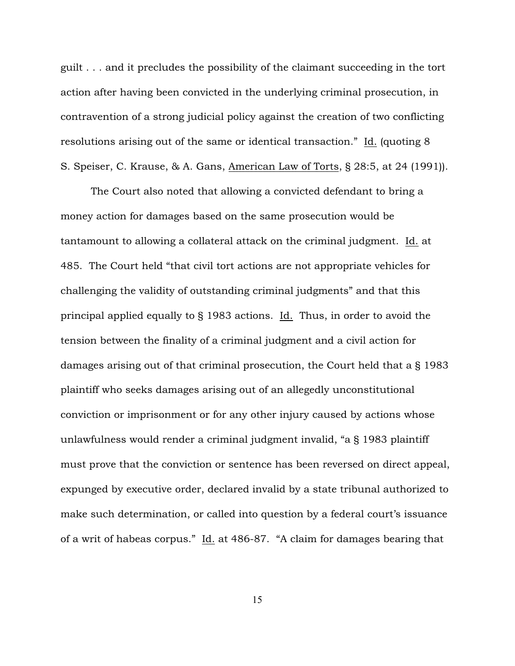guilt . . . and it precludes the possibility of the claimant succeeding in the tort action after having been convicted in the underlying criminal prosecution, in contravention of a strong judicial policy against the creation of two conflicting resolutions arising out of the same or identical transaction." Id. (quoting 8 S. Speiser, C. Krause, & A. Gans, American Law of Torts, § 28:5, at 24 (1991)).

The Court also noted that allowing a convicted defendant to bring a money action for damages based on the same prosecution would be tantamount to allowing a collateral attack on the criminal judgment. Id. at 485. The Court held "that civil tort actions are not appropriate vehicles for challenging the validity of outstanding criminal judgments" and that this principal applied equally to § 1983 actions. Id. Thus, in order to avoid the tension between the finality of a criminal judgment and a civil action for damages arising out of that criminal prosecution, the Court held that a § 1983 plaintiff who seeks damages arising out of an allegedly unconstitutional conviction or imprisonment or for any other injury caused by actions whose unlawfulness would render a criminal judgment invalid, "a § 1983 plaintiff must prove that the conviction or sentence has been reversed on direct appeal, expunged by executive order, declared invalid by a state tribunal authorized to make such determination, or called into question by a federal court's issuance of a writ of habeas corpus." Id. at 486-87. "A claim for damages bearing that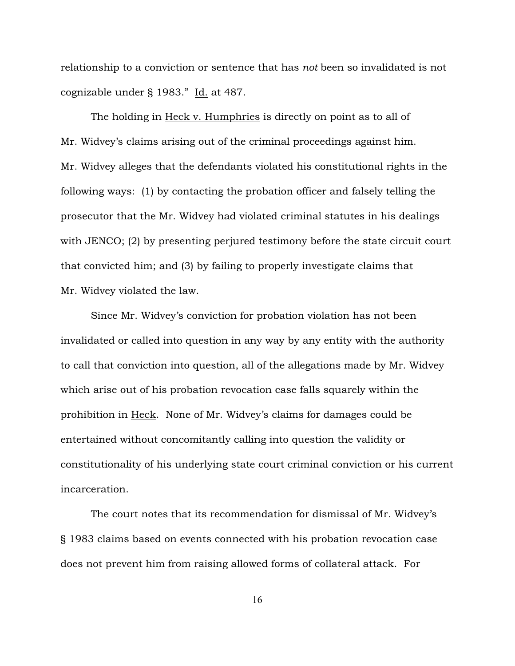relationship to a conviction or sentence that has *not* been so invalidated is not cognizable under § 1983." Id. at 487.

The holding in Heck v. Humphries is directly on point as to all of Mr. Widvey's claims arising out of the criminal proceedings against him. Mr. Widvey alleges that the defendants violated his constitutional rights in the following ways: (1) by contacting the probation officer and falsely telling the prosecutor that the Mr. Widvey had violated criminal statutes in his dealings with JENCO; (2) by presenting perjured testimony before the state circuit court that convicted him; and (3) by failing to properly investigate claims that Mr. Widvey violated the law.

Since Mr. Widvey's conviction for probation violation has not been invalidated or called into question in any way by any entity with the authority to call that conviction into question, all of the allegations made by Mr. Widvey which arise out of his probation revocation case falls squarely within the prohibition in Heck. None of Mr. Widvey's claims for damages could be entertained without concomitantly calling into question the validity or constitutionality of his underlying state court criminal conviction or his current incarceration.

The court notes that its recommendation for dismissal of Mr. Widvey's § 1983 claims based on events connected with his probation revocation case does not prevent him from raising allowed forms of collateral attack. For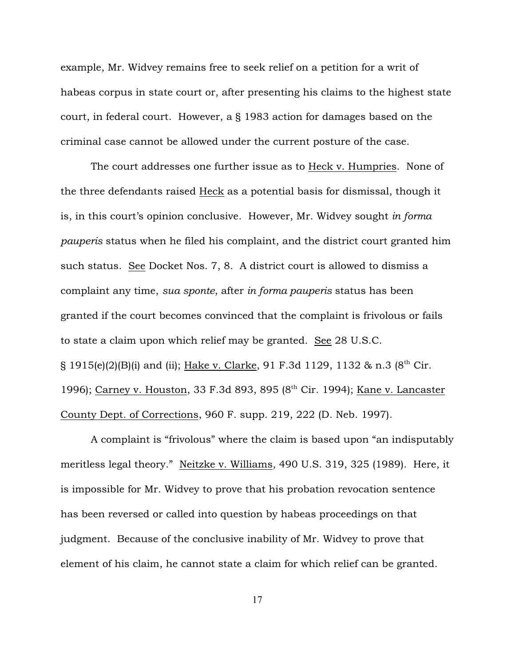example, Mr. Widvey remains free to seek relief on a petition for a writ of habeas corpus in state court or, after presenting his claims to the highest state court, in federal court. However, a § 1983 action for damages based on the criminal case cannot be allowed under the current posture of the case.

The court addresses one further issue as to Heck v. Humpries. None of the three defendants raised Heck as a potential basis for dismissal, though it is, in this court's opinion conclusive. However, Mr. Widvey sought *in forma pauperis* status when he filed his complaint, and the district court granted him such status. See Docket Nos. 7, 8. A district court is allowed to dismiss a complaint any time, *sua sponte*, after *in forma pauperis* status has been granted if the court becomes convinced that the complaint is frivolous or fails to state a claim upon which relief may be granted. See 28 U.S.C. § 1915(e)(2)(B)(i) and (ii); Hake v. Clarke, 91 F.3d 1129, 1132 & n.3 ( $8<sup>th</sup>$  Cir. 1996); Carney v. Houston, 33 F.3d 893, 895 (8<sup>th</sup> Cir. 1994); Kane v. Lancaster County Dept. of Corrections, 960 F. supp. 219, 222 (D. Neb. 1997).

A complaint is "frivolous" where the claim is based upon "an indisputably meritless legal theory." Neitzke v. Williams, 490 U.S. 319, 325 (1989). Here, it is impossible for Mr. Widvey to prove that his probation revocation sentence has been reversed or called into question by habeas proceedings on that judgment. Because of the conclusive inability of Mr. Widvey to prove that element of his claim, he cannot state a claim for which relief can be granted.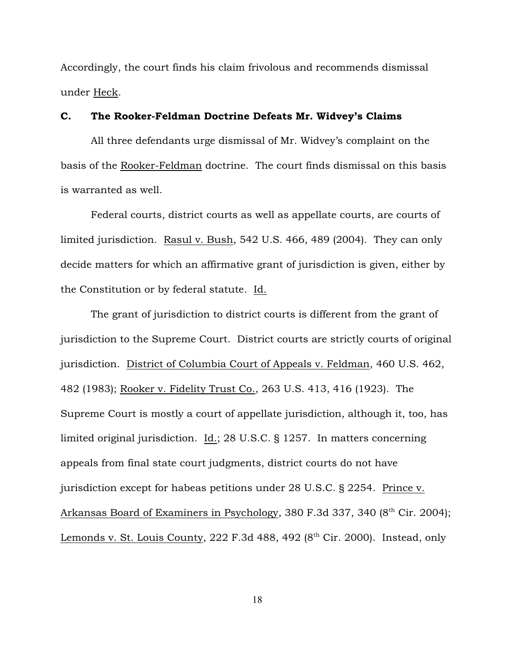Accordingly, the court finds his claim frivolous and recommends dismissal under Heck.

## C. The Rooker-Feldman Doctrine Defeats Mr. Widvey's Claims

All three defendants urge dismissal of Mr. Widvey's complaint on the basis of the Rooker-Feldman doctrine. The court finds dismissal on this basis is warranted as well.

Federal courts, district courts as well as appellate courts, are courts of limited jurisdiction. Rasul v. Bush, 542 U.S. 466, 489 (2004). They can only decide matters for which an affirmative grant of jurisdiction is given, either by the Constitution or by federal statute. Id.

The grant of jurisdiction to district courts is different from the grant of jurisdiction to the Supreme Court. District courts are strictly courts of original jurisdiction. District of Columbia Court of Appeals v. Feldman, 460 U.S. 462, 482 (1983); Rooker v. Fidelity Trust Co., 263 U.S. 413, 416 (1923). The Supreme Court is mostly a court of appellate jurisdiction, although it, too, has limited original jurisdiction. Id.; 28 U.S.C. § 1257. In matters concerning appeals from final state court judgments, district courts do not have jurisdiction except for habeas petitions under 28 U.S.C. § 2254. Prince v. Arkansas Board of Examiners in Psychology, 380 F.3d 337, 340 (8<sup>th</sup> Cir. 2004); Lemonds v. St. Louis County, 222 F.3d 488, 492  $(8<sup>th</sup> Cir. 2000)$ . Instead, only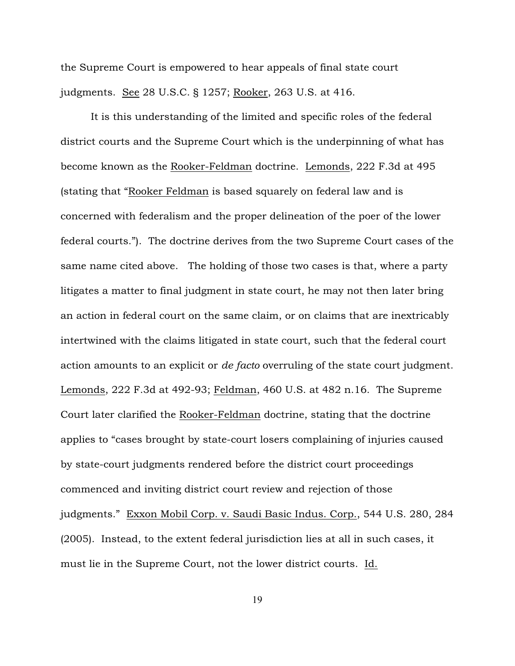the Supreme Court is empowered to hear appeals of final state court judgments. See 28 U.S.C. § 1257; Rooker, 263 U.S. at 416.

It is this understanding of the limited and specific roles of the federal district courts and the Supreme Court which is the underpinning of what has become known as the Rooker-Feldman doctrine. Lemonds, 222 F.3d at 495 (stating that "Rooker Feldman is based squarely on federal law and is concerned with federalism and the proper delineation of the poer of the lower federal courts."). The doctrine derives from the two Supreme Court cases of the same name cited above. The holding of those two cases is that, where a party litigates a matter to final judgment in state court, he may not then later bring an action in federal court on the same claim, or on claims that are inextricably intertwined with the claims litigated in state court, such that the federal court action amounts to an explicit or *de facto* overruling of the state court judgment. Lemonds, 222 F.3d at 492-93; Feldman, 460 U.S. at 482 n.16. The Supreme Court later clarified the Rooker-Feldman doctrine, stating that the doctrine applies to "cases brought by state-court losers complaining of injuries caused by state-court judgments rendered before the district court proceedings commenced and inviting district court review and rejection of those judgments." Exxon Mobil Corp. v. Saudi Basic Indus. Corp., 544 U.S. 280, 284 (2005). Instead, to the extent federal jurisdiction lies at all in such cases, it must lie in the Supreme Court, not the lower district courts. Id.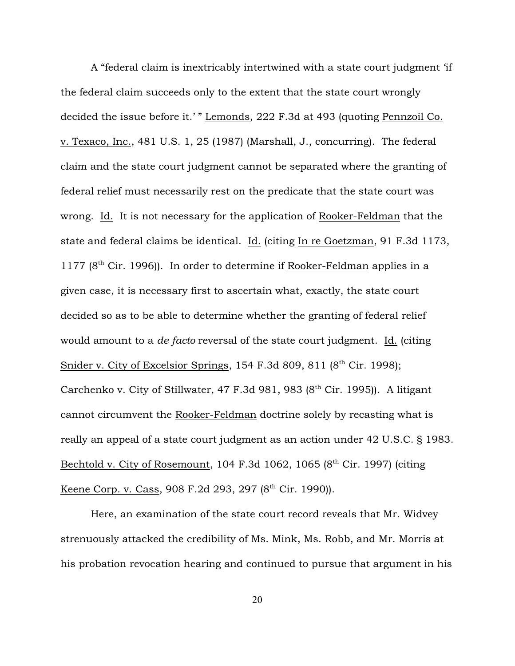A "federal claim is inextricably intertwined with a state court judgment 'if the federal claim succeeds only to the extent that the state court wrongly decided the issue before it.' " Lemonds, 222 F.3d at 493 (quoting Pennzoil Co. v. Texaco, Inc., 481 U.S. 1, 25 (1987) (Marshall, J., concurring). The federal claim and the state court judgment cannot be separated where the granting of federal relief must necessarily rest on the predicate that the state court was wrong. Id. It is not necessary for the application of Rooker-Feldman that the state and federal claims be identical. Id. (citing In re Goetzman, 91 F.3d 1173,  $1177$  ( $8<sup>th</sup>$  Cir. 1996)). In order to determine if Rooker-Feldman applies in a given case, it is necessary first to ascertain what, exactly, the state court decided so as to be able to determine whether the granting of federal relief would amount to a *de facto* reversal of the state court judgment. Id. (citing Snider v. City of Excelsior Springs, 154 F.3d 809, 811  $(8<sup>th</sup>$  Cir. 1998); Carchenko v. City of Stillwater, 47 F.3d 981, 983 ( $8<sup>th</sup>$  Cir. 1995)). A litigant cannot circumvent the Rooker-Feldman doctrine solely by recasting what is really an appeal of a state court judgment as an action under 42 U.S.C. § 1983. Bechtold v. City of Rosemount, 104 F.3d 1062, 1065  $(8<sup>th</sup> Cir. 1997)$  (citing Keene Corp. v. Cass, 908 F.2d 293, 297 (8<sup>th</sup> Cir. 1990)).

Here, an examination of the state court record reveals that Mr. Widvey strenuously attacked the credibility of Ms. Mink, Ms. Robb, and Mr. Morris at his probation revocation hearing and continued to pursue that argument in his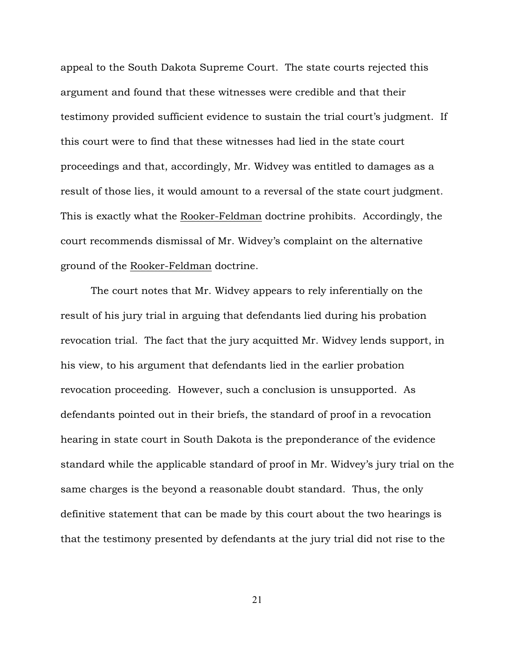appeal to the South Dakota Supreme Court. The state courts rejected this argument and found that these witnesses were credible and that their testimony provided sufficient evidence to sustain the trial court's judgment. If this court were to find that these witnesses had lied in the state court proceedings and that, accordingly, Mr. Widvey was entitled to damages as a result of those lies, it would amount to a reversal of the state court judgment. This is exactly what the Rooker-Feldman doctrine prohibits. Accordingly, the court recommends dismissal of Mr. Widvey's complaint on the alternative ground of the Rooker-Feldman doctrine.

The court notes that Mr. Widvey appears to rely inferentially on the result of his jury trial in arguing that defendants lied during his probation revocation trial. The fact that the jury acquitted Mr. Widvey lends support, in his view, to his argument that defendants lied in the earlier probation revocation proceeding. However, such a conclusion is unsupported. As defendants pointed out in their briefs, the standard of proof in a revocation hearing in state court in South Dakota is the preponderance of the evidence standard while the applicable standard of proof in Mr. Widvey's jury trial on the same charges is the beyond a reasonable doubt standard. Thus, the only definitive statement that can be made by this court about the two hearings is that the testimony presented by defendants at the jury trial did not rise to the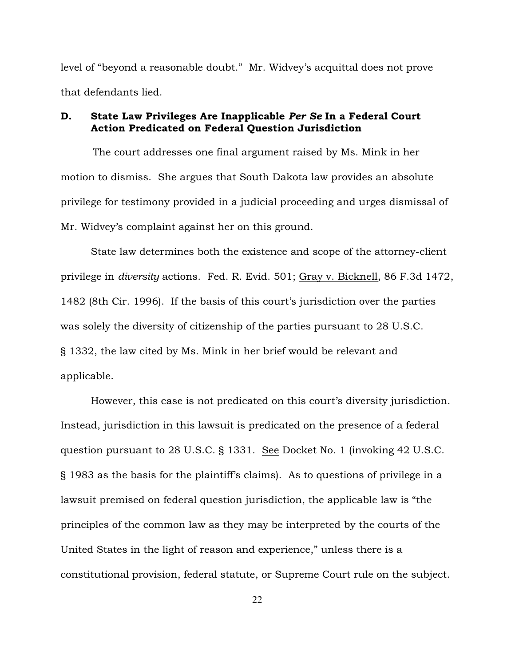level of "beyond a reasonable doubt." Mr. Widvey's acquittal does not prove that defendants lied.

## D. State Law Privileges Are Inapplicable *Per Se* In a Federal Court Action Predicated on Federal Question Jurisdiction

 The court addresses one final argument raised by Ms. Mink in her motion to dismiss. She argues that South Dakota law provides an absolute privilege for testimony provided in a judicial proceeding and urges dismissal of Mr. Widvey's complaint against her on this ground.

State law determines both the existence and scope of the attorney-client privilege in *diversity* actions. Fed. R. Evid. 501; Gray v. Bicknell, 86 F.3d 1472, 1482 (8th Cir. 1996). If the basis of this court's jurisdiction over the parties was solely the diversity of citizenship of the parties pursuant to 28 U.S.C. § 1332, the law cited by Ms. Mink in her brief would be relevant and applicable.

However, this case is not predicated on this court's diversity jurisdiction. Instead, jurisdiction in this lawsuit is predicated on the presence of a federal question pursuant to 28 U.S.C. § 1331. See Docket No. 1 (invoking 42 U.S.C. § 1983 as the basis for the plaintiff's claims). As to questions of privilege in a lawsuit premised on federal question jurisdiction, the applicable law is "the principles of the common law as they may be interpreted by the courts of the United States in the light of reason and experience," unless there is a constitutional provision, federal statute, or Supreme Court rule on the subject.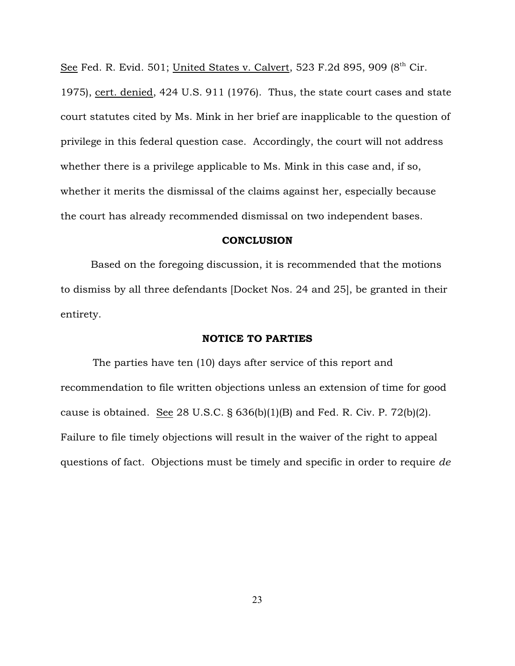See Fed. R. Evid. 501; United States v. Calvert, 523 F.2d 895, 909 ( $8<sup>th</sup>$  Cir.

1975), cert. denied, 424 U.S. 911 (1976). Thus, the state court cases and state court statutes cited by Ms. Mink in her brief are inapplicable to the question of privilege in this federal question case. Accordingly, the court will not address whether there is a privilege applicable to Ms. Mink in this case and, if so, whether it merits the dismissal of the claims against her, especially because the court has already recommended dismissal on two independent bases.

#### **CONCLUSION**

Based on the foregoing discussion, it is recommended that the motions to dismiss by all three defendants [Docket Nos. 24 and 25], be granted in their entirety.

#### NOTICE TO PARTIES

 The parties have ten (10) days after service of this report and recommendation to file written objections unless an extension of time for good cause is obtained. See 28 U.S.C. § 636(b)(1)(B) and Fed. R. Civ. P. 72(b)(2). Failure to file timely objections will result in the waiver of the right to appeal questions of fact. Objections must be timely and specific in order to require *de*